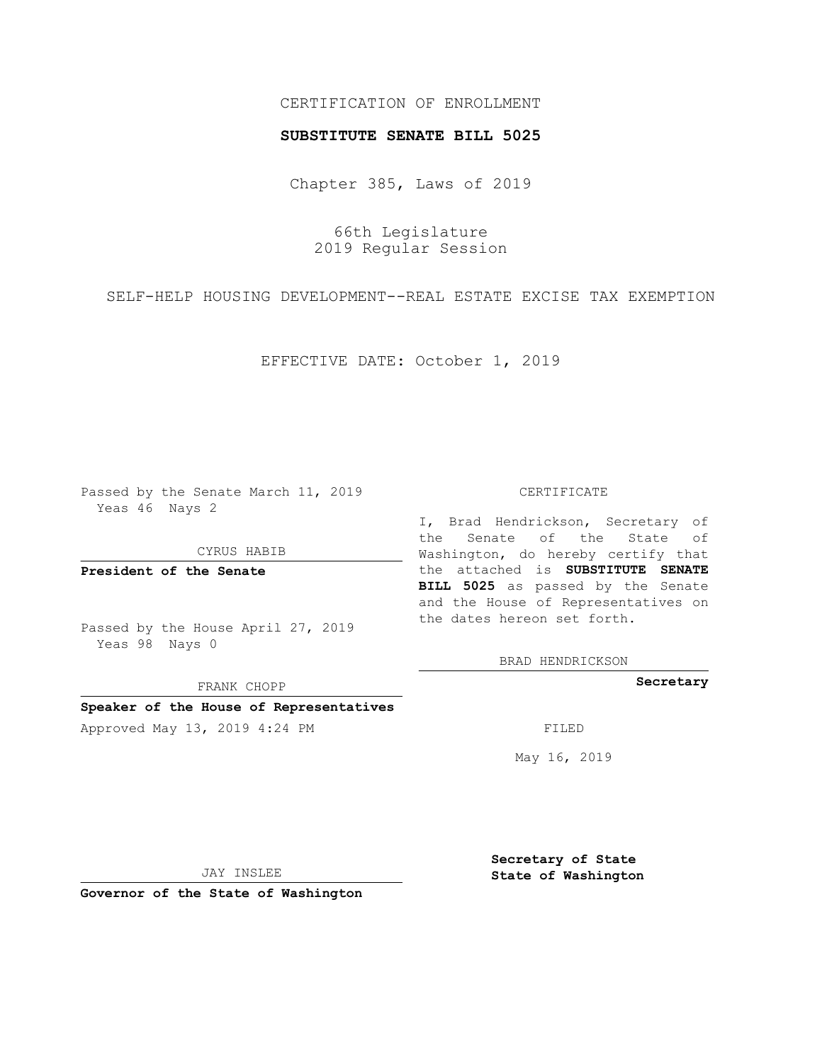# CERTIFICATION OF ENROLLMENT

## **SUBSTITUTE SENATE BILL 5025**

Chapter 385, Laws of 2019

66th Legislature 2019 Regular Session

SELF-HELP HOUSING DEVELOPMENT--REAL ESTATE EXCISE TAX EXEMPTION

EFFECTIVE DATE: October 1, 2019

Passed by the Senate March 11, 2019 Yeas 46 Nays 2

CYRUS HABIB

**President of the Senate**

Passed by the House April 27, 2019 Yeas 98 Nays 0

FRANK CHOPP

# **Speaker of the House of Representatives**

Approved May 13, 2019 4:24 PM

#### CERTIFICATE

I, Brad Hendrickson, Secretary of the Senate of the State of Washington, do hereby certify that the attached is **SUBSTITUTE SENATE BILL 5025** as passed by the Senate and the House of Representatives on the dates hereon set forth.

BRAD HENDRICKSON

**Secretary**

May 16, 2019

JAY INSLEE

**Governor of the State of Washington**

**Secretary of State State of Washington**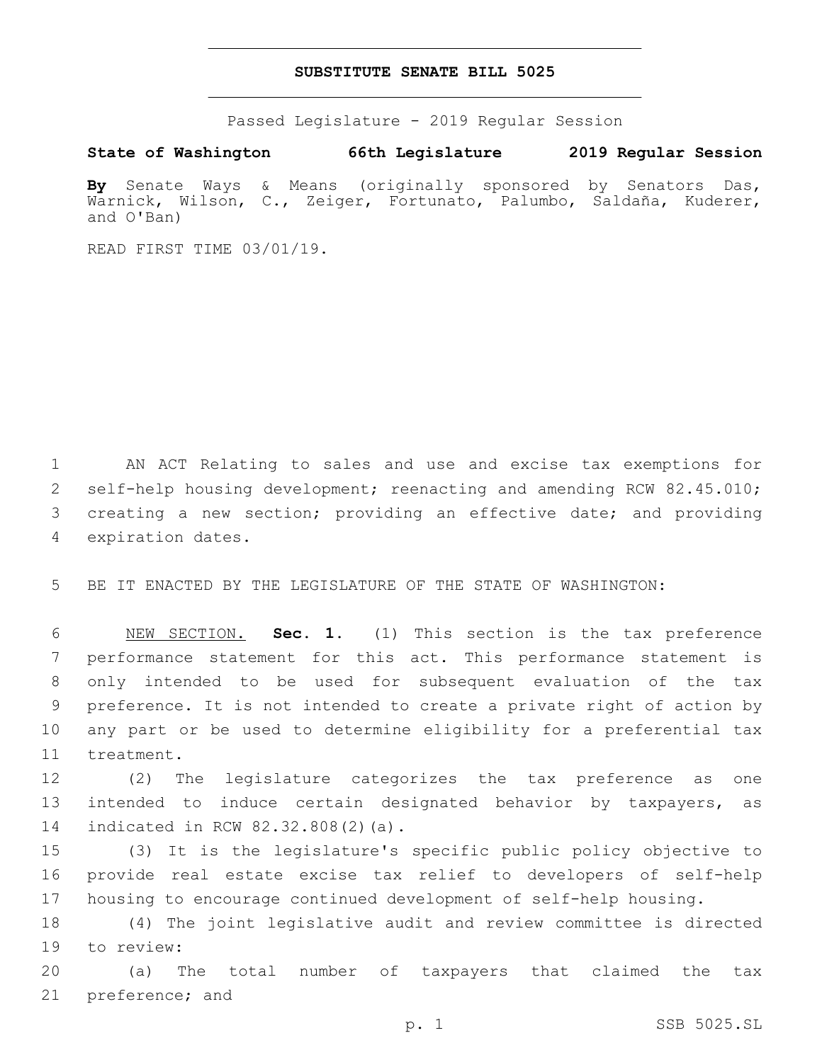## **SUBSTITUTE SENATE BILL 5025**

Passed Legislature - 2019 Regular Session

**State of Washington 66th Legislature 2019 Regular Session**

**By** Senate Ways & Means (originally sponsored by Senators Das, Warnick, Wilson, C., Zeiger, Fortunato, Palumbo, Saldaña, Kuderer, and O'Ban)

READ FIRST TIME 03/01/19.

1 AN ACT Relating to sales and use and excise tax exemptions for 2 self-help housing development; reenacting and amending RCW 82.45.010; 3 creating a new section; providing an effective date; and providing 4 expiration dates.

5 BE IT ENACTED BY THE LEGISLATURE OF THE STATE OF WASHINGTON:

 NEW SECTION. **Sec. 1.** (1) This section is the tax preference performance statement for this act. This performance statement is only intended to be used for subsequent evaluation of the tax preference. It is not intended to create a private right of action by any part or be used to determine eligibility for a preferential tax treatment.

12 (2) The legislature categorizes the tax preference as one 13 intended to induce certain designated behavior by taxpayers, as 14 indicated in RCW 82.32.808(2)(a).

15 (3) It is the legislature's specific public policy objective to 16 provide real estate excise tax relief to developers of self-help 17 housing to encourage continued development of self-help housing.

18 (4) The joint legislative audit and review committee is directed 19 to review:

20 (a) The total number of taxpayers that claimed the tax 21 preference; and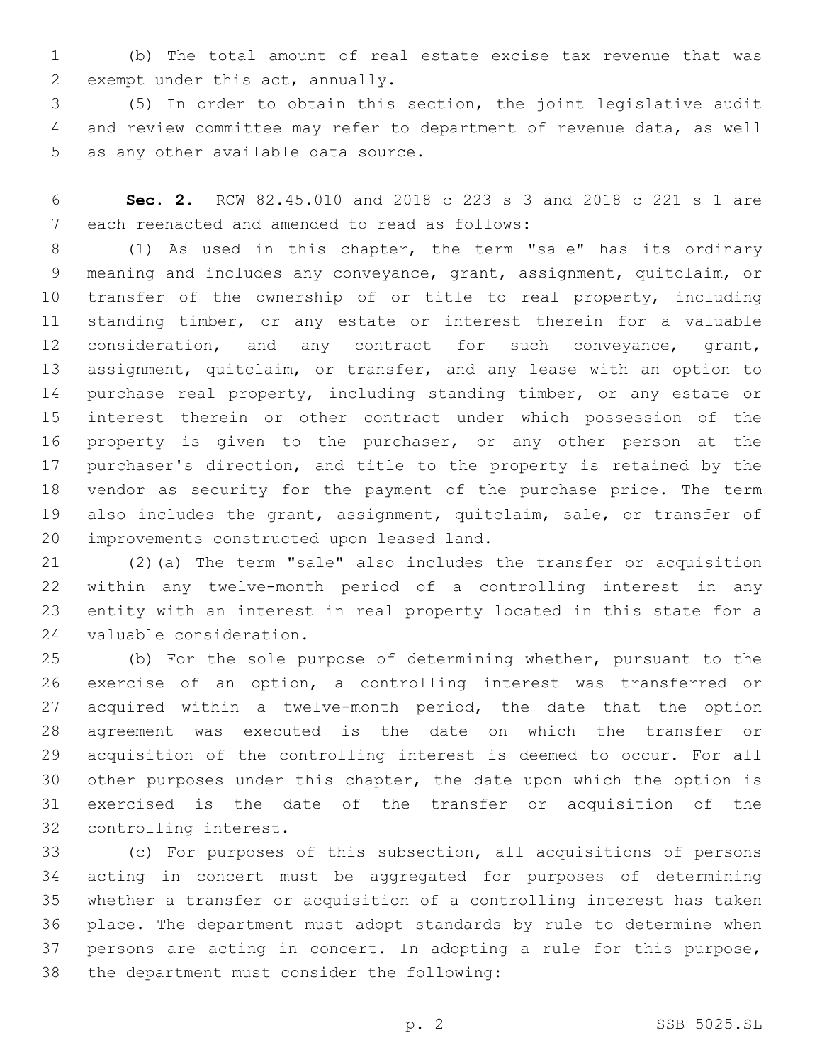(b) The total amount of real estate excise tax revenue that was 2 exempt under this act, annually.

 (5) In order to obtain this section, the joint legislative audit and review committee may refer to department of revenue data, as well 5 as any other available data source.

 **Sec. 2.** RCW 82.45.010 and 2018 c 223 s 3 and 2018 c 221 s 1 are 7 each reenacted and amended to read as follows:

 (1) As used in this chapter, the term "sale" has its ordinary meaning and includes any conveyance, grant, assignment, quitclaim, or 10 transfer of the ownership of or title to real property, including standing timber, or any estate or interest therein for a valuable 12 consideration, and any contract for such conveyance, grant, assignment, quitclaim, or transfer, and any lease with an option to purchase real property, including standing timber, or any estate or interest therein or other contract under which possession of the property is given to the purchaser, or any other person at the purchaser's direction, and title to the property is retained by the vendor as security for the payment of the purchase price. The term also includes the grant, assignment, quitclaim, sale, or transfer of 20 improvements constructed upon leased land.

 (2)(a) The term "sale" also includes the transfer or acquisition within any twelve-month period of a controlling interest in any entity with an interest in real property located in this state for a 24 valuable consideration.

 (b) For the sole purpose of determining whether, pursuant to the exercise of an option, a controlling interest was transferred or acquired within a twelve-month period, the date that the option agreement was executed is the date on which the transfer or acquisition of the controlling interest is deemed to occur. For all other purposes under this chapter, the date upon which the option is exercised is the date of the transfer or acquisition of the 32 controlling interest.

 (c) For purposes of this subsection, all acquisitions of persons acting in concert must be aggregated for purposes of determining whether a transfer or acquisition of a controlling interest has taken place. The department must adopt standards by rule to determine when persons are acting in concert. In adopting a rule for this purpose, 38 the department must consider the following: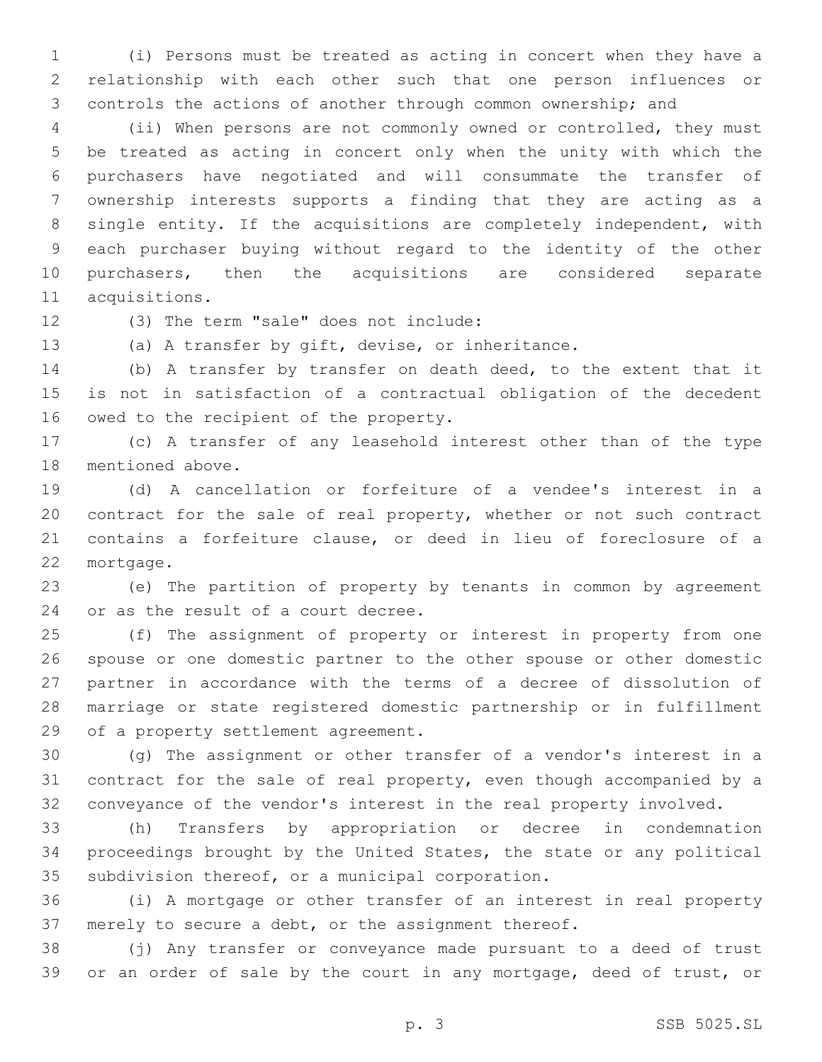(i) Persons must be treated as acting in concert when they have a relationship with each other such that one person influences or controls the actions of another through common ownership; and

 (ii) When persons are not commonly owned or controlled, they must be treated as acting in concert only when the unity with which the purchasers have negotiated and will consummate the transfer of ownership interests supports a finding that they are acting as a single entity. If the acquisitions are completely independent, with each purchaser buying without regard to the identity of the other purchasers, then the acquisitions are considered separate 11 acquisitions.

12 (3) The term "sale" does not include:

(a) A transfer by gift, devise, or inheritance.

 (b) A transfer by transfer on death deed, to the extent that it is not in satisfaction of a contractual obligation of the decedent 16 owed to the recipient of the property.

 (c) A transfer of any leasehold interest other than of the type 18 mentioned above.

 (d) A cancellation or forfeiture of a vendee's interest in a contract for the sale of real property, whether or not such contract contains a forfeiture clause, or deed in lieu of foreclosure of a 22 mortgage.

 (e) The partition of property by tenants in common by agreement 24 or as the result of a court decree.

 (f) The assignment of property or interest in property from one spouse or one domestic partner to the other spouse or other domestic partner in accordance with the terms of a decree of dissolution of marriage or state registered domestic partnership or in fulfillment 29 of a property settlement agreement.

 (g) The assignment or other transfer of a vendor's interest in a contract for the sale of real property, even though accompanied by a conveyance of the vendor's interest in the real property involved.

 (h) Transfers by appropriation or decree in condemnation proceedings brought by the United States, the state or any political 35 subdivision thereof, or a municipal corporation.

 (i) A mortgage or other transfer of an interest in real property merely to secure a debt, or the assignment thereof.

 (j) Any transfer or conveyance made pursuant to a deed of trust or an order of sale by the court in any mortgage, deed of trust, or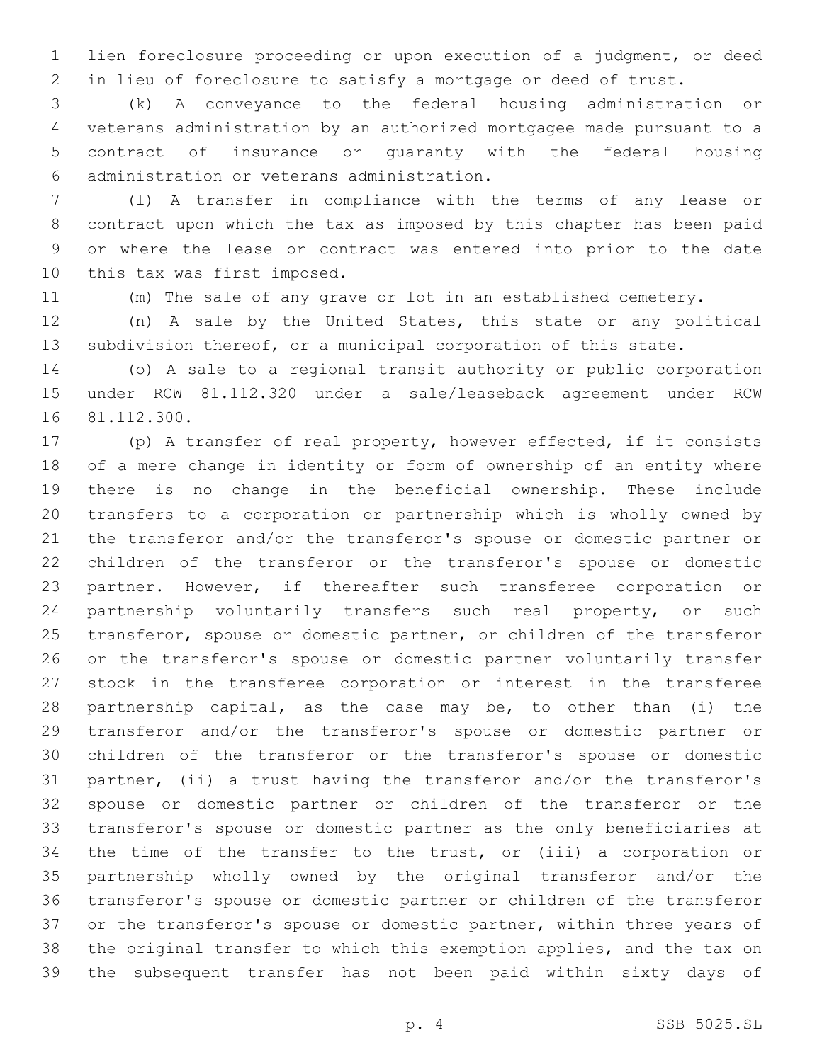lien foreclosure proceeding or upon execution of a judgment, or deed in lieu of foreclosure to satisfy a mortgage or deed of trust.

 (k) A conveyance to the federal housing administration or veterans administration by an authorized mortgagee made pursuant to a contract of insurance or guaranty with the federal housing administration or veterans administration.6

 (l) A transfer in compliance with the terms of any lease or contract upon which the tax as imposed by this chapter has been paid or where the lease or contract was entered into prior to the date 10 this tax was first imposed.

(m) The sale of any grave or lot in an established cemetery.

 (n) A sale by the United States, this state or any political subdivision thereof, or a municipal corporation of this state.

 (o) A sale to a regional transit authority or public corporation under RCW 81.112.320 under a sale/leaseback agreement under RCW 16 81.112.300.

 (p) A transfer of real property, however effected, if it consists of a mere change in identity or form of ownership of an entity where there is no change in the beneficial ownership. These include transfers to a corporation or partnership which is wholly owned by the transferor and/or the transferor's spouse or domestic partner or children of the transferor or the transferor's spouse or domestic partner. However, if thereafter such transferee corporation or 24 partnership voluntarily transfers such real property, or such transferor, spouse or domestic partner, or children of the transferor or the transferor's spouse or domestic partner voluntarily transfer stock in the transferee corporation or interest in the transferee partnership capital, as the case may be, to other than (i) the transferor and/or the transferor's spouse or domestic partner or children of the transferor or the transferor's spouse or domestic partner, (ii) a trust having the transferor and/or the transferor's spouse or domestic partner or children of the transferor or the transferor's spouse or domestic partner as the only beneficiaries at the time of the transfer to the trust, or (iii) a corporation or partnership wholly owned by the original transferor and/or the transferor's spouse or domestic partner or children of the transferor 37 or the transferor's spouse or domestic partner, within three years of the original transfer to which this exemption applies, and the tax on the subsequent transfer has not been paid within sixty days of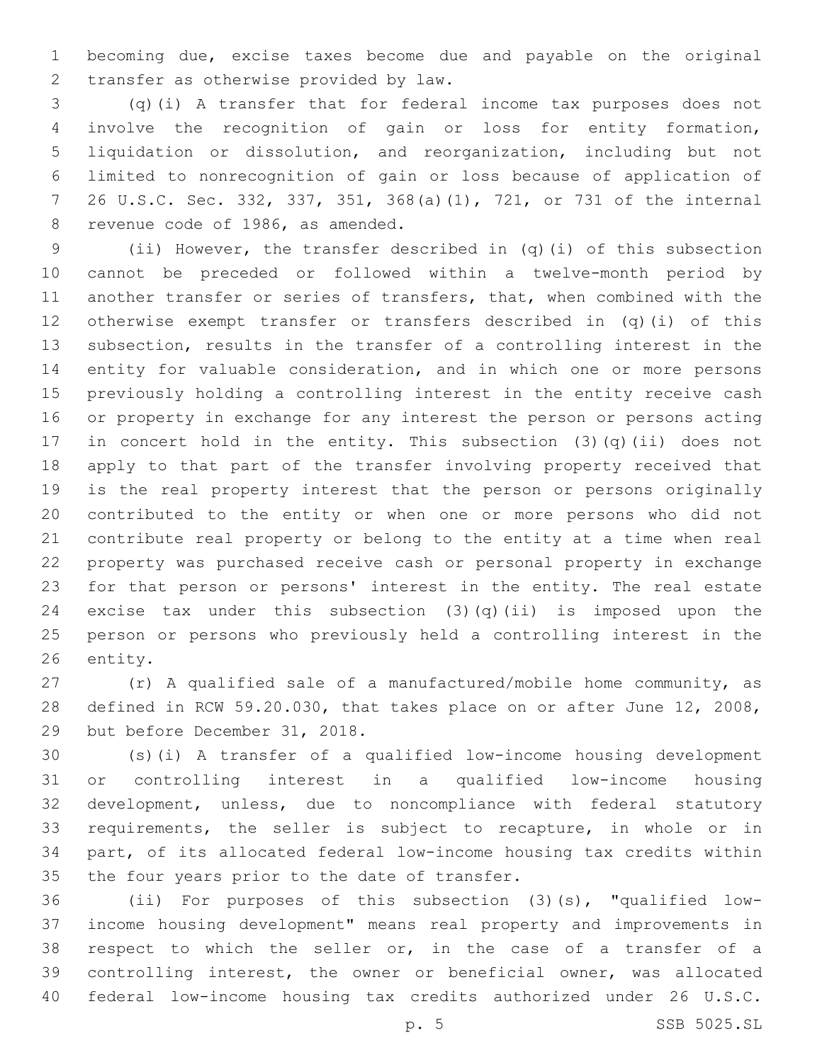becoming due, excise taxes become due and payable on the original 2 transfer as otherwise provided by law.

 (q)(i) A transfer that for federal income tax purposes does not involve the recognition of gain or loss for entity formation, liquidation or dissolution, and reorganization, including but not limited to nonrecognition of gain or loss because of application of 26 U.S.C. Sec. 332, 337, 351, 368(a)(1), 721, or 731 of the internal 8 revenue code of 1986, as amended.

 (ii) However, the transfer described in (q)(i) of this subsection cannot be preceded or followed within a twelve-month period by another transfer or series of transfers, that, when combined with the otherwise exempt transfer or transfers described in (q)(i) of this subsection, results in the transfer of a controlling interest in the entity for valuable consideration, and in which one or more persons previously holding a controlling interest in the entity receive cash or property in exchange for any interest the person or persons acting in concert hold in the entity. This subsection (3)(q)(ii) does not apply to that part of the transfer involving property received that is the real property interest that the person or persons originally contributed to the entity or when one or more persons who did not contribute real property or belong to the entity at a time when real property was purchased receive cash or personal property in exchange for that person or persons' interest in the entity. The real estate 24 excise tax under this subsection  $(3)(q)(ii)$  is imposed upon the person or persons who previously held a controlling interest in the 26 entity.

 (r) A qualified sale of a manufactured/mobile home community, as defined in RCW 59.20.030, that takes place on or after June 12, 2008, 29 but before December 31, 2018.

 (s)(i) A transfer of a qualified low-income housing development or controlling interest in a qualified low-income housing development, unless, due to noncompliance with federal statutory requirements, the seller is subject to recapture, in whole or in part, of its allocated federal low-income housing tax credits within 35 the four years prior to the date of transfer.

 (ii) For purposes of this subsection (3)(s), "qualified low- income housing development" means real property and improvements in respect to which the seller or, in the case of a transfer of a controlling interest, the owner or beneficial owner, was allocated federal low-income housing tax credits authorized under 26 U.S.C.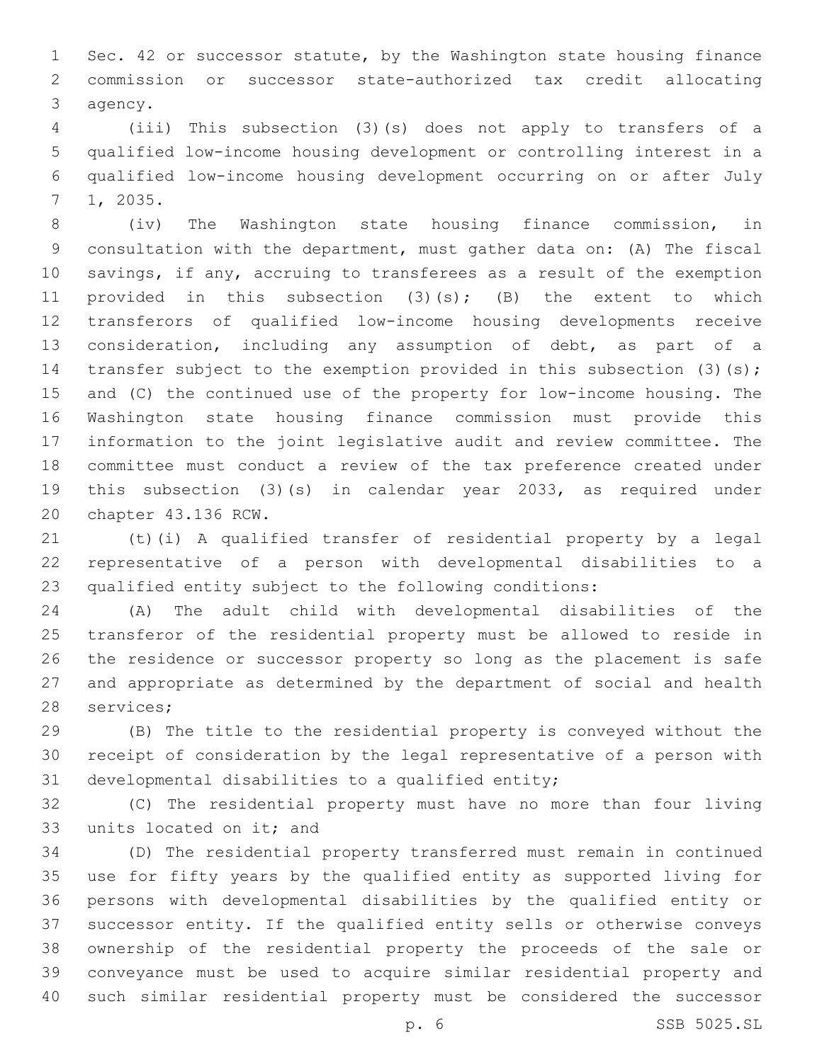Sec. 42 or successor statute, by the Washington state housing finance commission or successor state-authorized tax credit allocating 3 agency.

 (iii) This subsection (3)(s) does not apply to transfers of a qualified low-income housing development or controlling interest in a qualified low-income housing development occurring on or after July 1, 2035.7

 (iv) The Washington state housing finance commission, in consultation with the department, must gather data on: (A) The fiscal savings, if any, accruing to transferees as a result of the exemption 11 provided in this subsection (3)(s); (B) the extent to which transferors of qualified low-income housing developments receive consideration, including any assumption of debt, as part of a 14 transfer subject to the exemption provided in this subsection (3)(s); and (C) the continued use of the property for low-income housing. The Washington state housing finance commission must provide this information to the joint legislative audit and review committee. The committee must conduct a review of the tax preference created under this subsection (3)(s) in calendar year 2033, as required under 20 chapter 43.136 RCW.

 (t)(i) A qualified transfer of residential property by a legal representative of a person with developmental disabilities to a qualified entity subject to the following conditions:

 (A) The adult child with developmental disabilities of the transferor of the residential property must be allowed to reside in the residence or successor property so long as the placement is safe and appropriate as determined by the department of social and health 28 services;

 (B) The title to the residential property is conveyed without the receipt of consideration by the legal representative of a person with 31 developmental disabilities to a qualified entity;

 (C) The residential property must have no more than four living 33 units located on it; and

 (D) The residential property transferred must remain in continued use for fifty years by the qualified entity as supported living for persons with developmental disabilities by the qualified entity or successor entity. If the qualified entity sells or otherwise conveys ownership of the residential property the proceeds of the sale or conveyance must be used to acquire similar residential property and such similar residential property must be considered the successor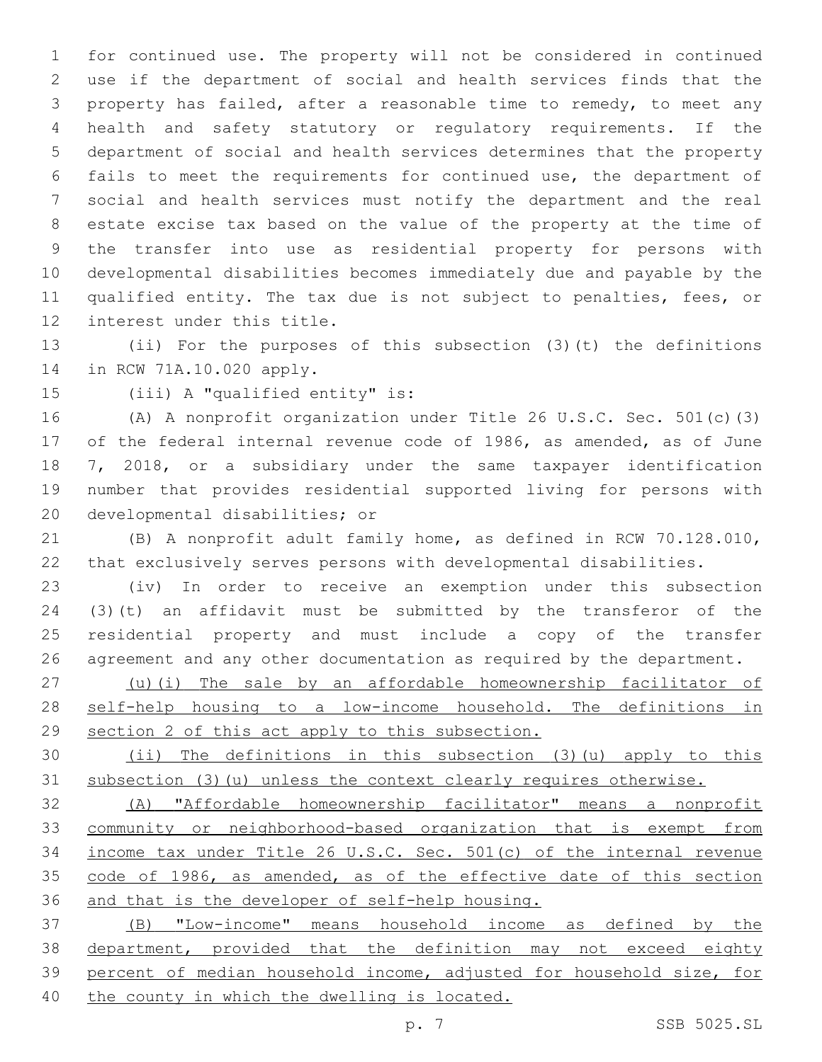for continued use. The property will not be considered in continued use if the department of social and health services finds that the property has failed, after a reasonable time to remedy, to meet any health and safety statutory or regulatory requirements. If the department of social and health services determines that the property fails to meet the requirements for continued use, the department of social and health services must notify the department and the real estate excise tax based on the value of the property at the time of the transfer into use as residential property for persons with developmental disabilities becomes immediately due and payable by the qualified entity. The tax due is not subject to penalties, fees, or 12 interest under this title.

 (ii) For the purposes of this subsection (3)(t) the definitions 14 in RCW 71A.10.020 apply.

15 (iii) A "qualified entity" is:

 (A) A nonprofit organization under Title 26 U.S.C. Sec. 501(c)(3) of the federal internal revenue code of 1986, as amended, as of June 7, 2018, or a subsidiary under the same taxpayer identification number that provides residential supported living for persons with 20 developmental disabilities; or

 (B) A nonprofit adult family home, as defined in RCW 70.128.010, that exclusively serves persons with developmental disabilities.

 (iv) In order to receive an exemption under this subsection (3)(t) an affidavit must be submitted by the transferor of the residential property and must include a copy of the transfer agreement and any other documentation as required by the department.

 (u)(i) The sale by an affordable homeownership facilitator of self-help housing to a low-income household. The definitions in section 2 of this act apply to this subsection.

 (ii) The definitions in this subsection (3)(u) apply to this subsection (3)(u) unless the context clearly requires otherwise.

 (A) "Affordable homeownership facilitator" means a nonprofit community or neighborhood-based organization that is exempt from income tax under Title 26 U.S.C. Sec. 501(c) of the internal revenue 35 code of 1986, as amended, as of the effective date of this section and that is the developer of self-help housing.

 (B) "Low-income" means household income as defined by the department, provided that the definition may not exceed eighty percent of median household income, adjusted for household size, for the county in which the dwelling is located.